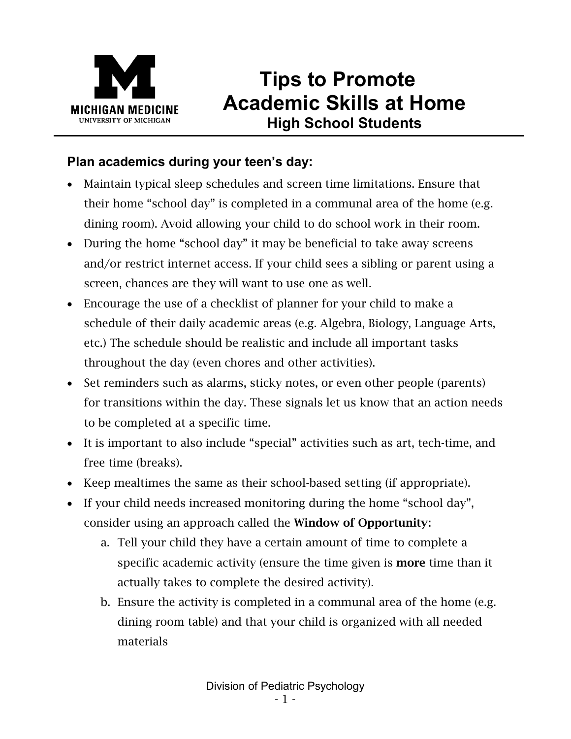

# **Tips to Promote Academic Skills at Home High School Students**

## **Plan academics during your teen's day:**

- Maintain typical sleep schedules and screen time limitations. Ensure that their home "school day" is completed in a communal area of the home (e.g. dining room). Avoid allowing your child to do school work in their room.
- During the home "school day" it may be beneficial to take away screens and/or restrict internet access. If your child sees a sibling or parent using a screen, chances are they will want to use one as well.
- Encourage the use of a checklist of planner for your child to make a schedule of their daily academic areas (e.g. Algebra, Biology, Language Arts, etc.) The schedule should be realistic and include all important tasks throughout the day (even chores and other activities).
- Set reminders such as alarms, sticky notes, or even other people (parents) for transitions within the day. These signals let us know that an action needs to be completed at a specific time.
- It is important to also include "special" activities such as art, tech-time, and free time (breaks).
- Keep mealtimes the same as their school-based setting (if appropriate).
- If your child needs increased monitoring during the home "school day", consider using an approach called the Window of Opportunity:
	- a. Tell your child they have a certain amount of time to complete a specific academic activity (ensure the time given is **more** time than it actually takes to complete the desired activity).
	- b. Ensure the activity is completed in a communal area of the home (e.g. dining room table) and that your child is organized with all needed materials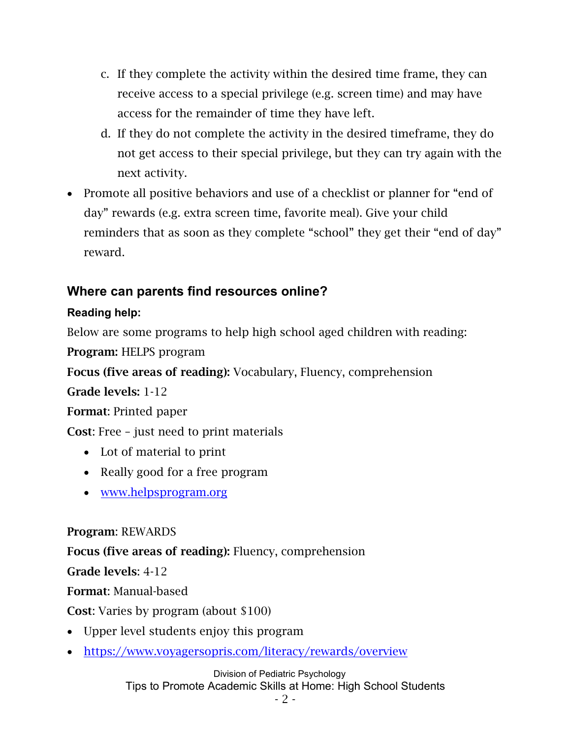- c. If they complete the activity within the desired time frame, they can receive access to a special privilege (e.g. screen time) and may have access for the remainder of time they have left.
- d. If they do not complete the activity in the desired timeframe, they do not get access to their special privilege, but they can try again with the next activity.
- Promote all positive behaviors and use of a checklist or planner for "end of day" rewards (e.g. extra screen time, favorite meal). Give your child reminders that as soon as they complete "school" they get their "end of day" reward.

## **Where can parents find resources online?**

### **Reading help:**

Below are some programs to help high school aged children with reading: Program: HELPS program

Focus (five areas of reading): Vocabulary, Fluency, comprehension

Grade levels: 1-12

Format: Printed paper

Cost: Free – just need to print materials

- Lot of material to print
- Really good for a free program
- [www.helpsprogram.org](http://www.helpsprogram.org/)

### Program: REWARDS

Focus (five areas of reading): Fluency, comprehension

Grade levels: 4-12

Format: Manual-based

Cost: Varies by program (about \$100)

- Upper level students enjoy this program
- <https://www.voyagersopris.com/literacy/rewards/overview>

Division of Pediatric Psychology Tips to Promote Academic Skills at Home: High School Students